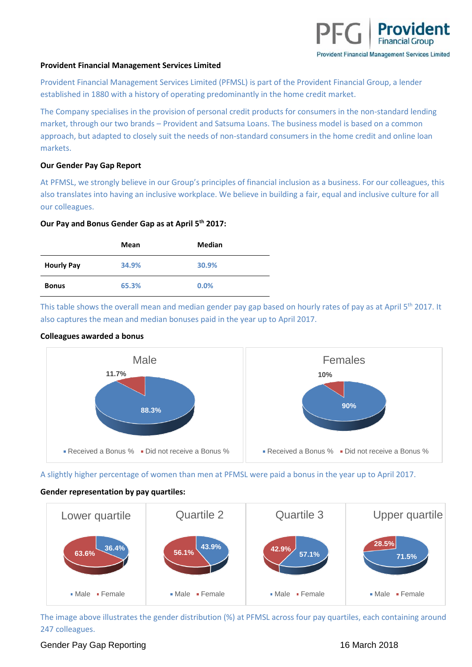### **Provident Financial Management Services Limited**

Provident Financial Management Services Limited (PFMSL) is part of the Provident Financial Group, a lender established in 1880 with a history of operating predominantly in the home credit market.

The Company specialises in the provision of personal credit products for consumers in the non-standard lending market, through our two brands – Provident and Satsuma Loans. The business model is based on a common approach, but adapted to closely suit the needs of non-standard consumers in the home credit and online loan markets.

### **Our Gender Pay Gap Report**

At PFMSL, we strongly believe in our Group's principles of financial inclusion as a business. For our colleagues, this also translates into having an inclusive workplace. We believe in building a fair, equal and inclusive culture for all our colleagues.

### **Our Pay and Bonus Gender Gap as at April 5th 2017:**

|                   | Mean  | Median |
|-------------------|-------|--------|
| <b>Hourly Pay</b> | 34.9% | 30.9%  |
| <b>Bonus</b>      | 65.3% | 0.0%   |

This table shows the overall mean and median gender pay gap based on hourly rates of pay as at April 5<sup>th</sup> 2017. It also captures the mean and median bonuses paid in the year up to April 2017.

## **Colleagues awarded a bonus**



A slightly higher percentage of women than men at PFMSL were paid a bonus in the year up to April 2017.

# **Gender representation by pay quartiles:**



The image above illustrates the gender distribution (%) at PFMSL across four pay quartiles, each containing around 247 colleagues.

# Gender Pay Gap Reporting 16 March 2018